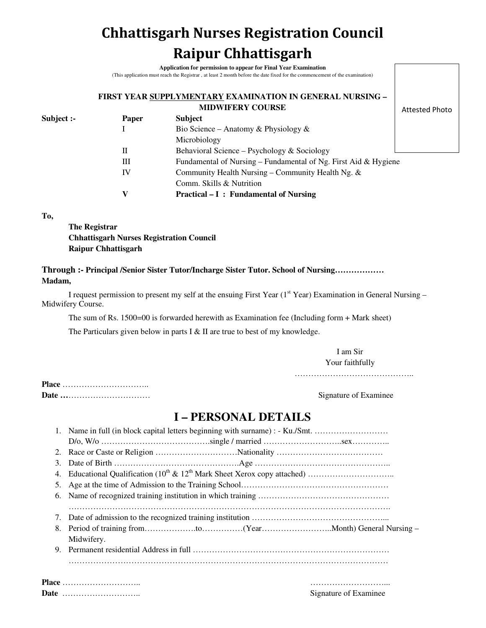# **Chhattisgarh Nurses Registration Council Raipur Chhattisgarh**

**Application for permission to appear for Final Year Examination** (This application must reach the Registrar , at least 2 month before the date fixed for the commencement of the examination)

#### **FIRST YEAR SUPPLYMENTARY EXAMINATION IN GENERAL NURSING – MIDWIFERY COURSE**

Attested Photo

| Bio Science – Anatomy & Physiology &                                    |  |
|-------------------------------------------------------------------------|--|
|                                                                         |  |
| Microbiology                                                            |  |
| Behavioral Science – Psychology $&$ Sociology<br>П                      |  |
| Fundamental of Nursing – Fundamental of Ng. First Aid $\&$ Hygiene<br>Ш |  |
| Community Health Nursing – Community Health Ng. &<br>IV                 |  |
| Comm. Skills & Nutrition                                                |  |
| v<br><b>Practical – I: Fundamental of Nursing</b>                       |  |

**To,** 

**The Registrar Chhattisgarh Nurses Registration Council Raipur Chhattisgarh** 

### **Through :- Principal /Senior Sister Tutor/Incharge Sister Tutor. School of Nursing……………… Madam,**

I request permission to present my self at the ensuing First Year (1<sup>st</sup> Year) Examination in General Nursing – Midwifery Course.

The sum of Rs. 1500=00 is forwarded herewith as Examination fee (Including form + Mark sheet)

The Particulars given below in parts I & II are true to best of my knowledge.

I am Sir Your faithfully

……………………………………..

**Place** ………………………….. **Date …**………………………… Signature of Examinee

## **I – PERSONAL DETAILS**

|    | 1. Name in full (in block capital letters beginning with surname) : - Ku./Smt. |  |  |  |  |
|----|--------------------------------------------------------------------------------|--|--|--|--|
|    |                                                                                |  |  |  |  |
| 2. |                                                                                |  |  |  |  |
| 3. |                                                                                |  |  |  |  |
| 4. |                                                                                |  |  |  |  |
| 5. |                                                                                |  |  |  |  |
| 6. |                                                                                |  |  |  |  |
|    |                                                                                |  |  |  |  |
| 7. |                                                                                |  |  |  |  |
|    |                                                                                |  |  |  |  |
|    | Midwifery.                                                                     |  |  |  |  |
| 9. |                                                                                |  |  |  |  |
|    |                                                                                |  |  |  |  |
|    |                                                                                |  |  |  |  |
|    | Place                                                                          |  |  |  |  |

**Date** ……………………….. Signature of Examinee